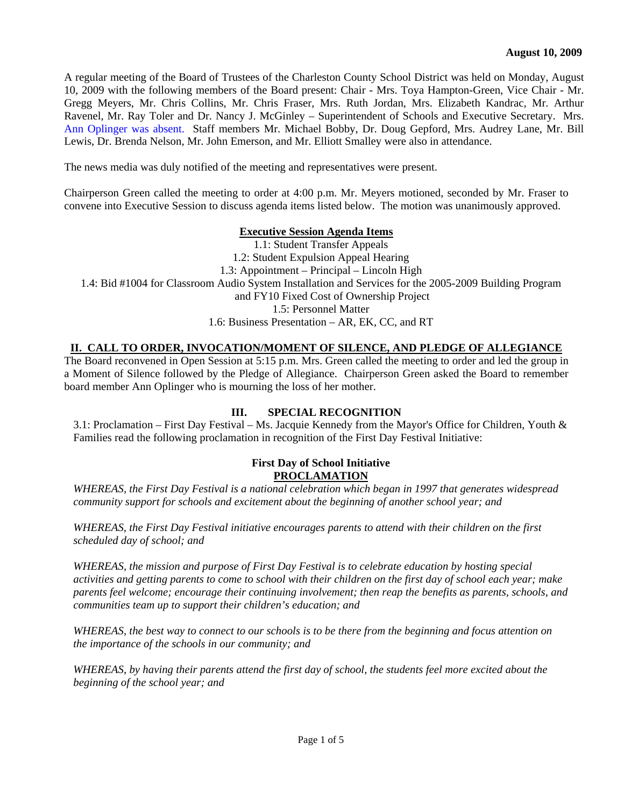A regular meeting of the Board of Trustees of the Charleston County School District was held on Monday, August 10, 2009 with the following members of the Board present: Chair - Mrs. Toya Hampton-Green, Vice Chair - Mr. Gregg Meyers, Mr. Chris Collins, Mr. Chris Fraser, Mrs. Ruth Jordan, Mrs. Elizabeth Kandrac, Mr. Arthur Ravenel, Mr. Ray Toler and Dr. Nancy J. McGinley – Superintendent of Schools and Executive Secretary. Mrs. Ann Oplinger was absent. Staff members Mr. Michael Bobby, Dr. Doug Gepford, Mrs. Audrey Lane, Mr. Bill Lewis, Dr. Brenda Nelson, Mr. John Emerson, and Mr. Elliott Smalley were also in attendance.

The news media was duly notified of the meeting and representatives were present.

Chairperson Green called the meeting to order at 4:00 p.m. Mr. Meyers motioned, seconded by Mr. Fraser to convene into Executive Session to discuss agenda items listed below. The motion was unanimously approved.

#### **Executive Session Agenda Items**

1.1: Student Transfer Appeals 1.2: Student Expulsion Appeal Hearing 1.3: Appointment – Principal – Lincoln High 1.4: Bid #1004 for Classroom Audio System Installation and Services for the 2005-2009 Building Program and FY10 Fixed Cost of Ownership Project 1.5: Personnel Matter 1.6: Business Presentation – AR, EK, CC, and RT

# **II. CALL TO ORDER, INVOCATION/MOMENT OF SILENCE, AND PLEDGE OF ALLEGIANCE**

The Board reconvened in Open Session at 5:15 p.m. Mrs. Green called the meeting to order and led the group in a Moment of Silence followed by the Pledge of Allegiance. Chairperson Green asked the Board to remember board member Ann Oplinger who is mourning the loss of her mother.

## **III. SPECIAL RECOGNITION**

3.1: Proclamation – First Day Festival – Ms. Jacquie Kennedy from the Mayor's Office for Children, Youth & Families read the following proclamation in recognition of the First Day Festival Initiative:

#### **First Day of School Initiative PROCLAMATION**

*WHEREAS, the First Day Festival is a national celebration which began in 1997 that generates widespread community support for schools and excitement about the beginning of another school year; and* 

*WHEREAS, the First Day Festival initiative encourages parents to attend with their children on the first scheduled day of school; and* 

*WHEREAS, the mission and purpose of First Day Festival is to celebrate education by hosting special activities and getting parents to come to school with their children on the first day of school each year; make parents feel welcome; encourage their continuing involvement; then reap the benefits as parents, schools, and communities team up to support their children's education; and* 

*WHEREAS, the best way to connect to our schools is to be there from the beginning and focus attention on the importance of the schools in our community; and* 

*WHEREAS, by having their parents attend the first day of school, the students feel more excited about the beginning of the school year; and*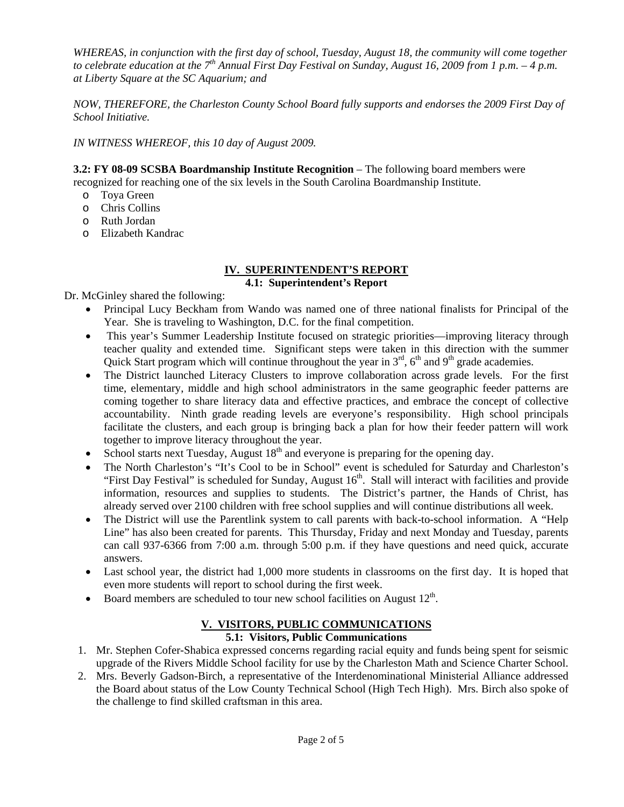*WHEREAS, in conjunction with the first day of school, Tuesday, August 18, the community will come together to celebrate education at the 7th Annual First Day Festival on Sunday, August 16, 2009 from 1 p.m. – 4 p.m. at Liberty Square at the SC Aquarium; and* 

*NOW, THEREFORE, the Charleston County School Board fully supports and endorses the 2009 First Day of School Initiative.* 

*IN WITNESS WHEREOF, this 10 day of August 2009.* 

**3.2: FY 08-09 SCSBA Boardmanship Institute Recognition** – The following board members were

recognized for reaching one of the six levels in the South Carolina Boardmanship Institute.

- o Toya Green
- o Chris Collins
- o Ruth Jordan
- o Elizabeth Kandrac

#### **IV. SUPERINTENDENT'S REPORT 4.1: Superintendent's Report**

Dr. McGinley shared the following:

- Principal Lucy Beckham from Wando was named one of three national finalists for Principal of the Year. She is traveling to Washington, D.C. for the final competition.
- This year's Summer Leadership Institute focused on strategic priorities—improving literacy through teacher quality and extended time. Significant steps were taken in this direction with the summer Quick Start program which will continue throughout the year in  $3<sup>rd</sup>$ ,  $6<sup>th</sup>$  and  $9<sup>th</sup>$  grade academies.
- The District launched Literacy Clusters to improve collaboration across grade levels. For the first time, elementary, middle and high school administrators in the same geographic feeder patterns are coming together to share literacy data and effective practices, and embrace the concept of collective accountability. Ninth grade reading levels are everyone's responsibility. High school principals facilitate the clusters, and each group is bringing back a plan for how their feeder pattern will work together to improve literacy throughout the year.
- School starts next Tuesday, August  $18<sup>th</sup>$  and everyone is preparing for the opening day.
- The North Charleston's "It's Cool to be in School" event is scheduled for Saturday and Charleston's "First Day Festival" is scheduled for Sunday, August 16<sup>th</sup>. Stall will interact with facilities and provide information, resources and supplies to students. The District's partner, the Hands of Christ, has already served over 2100 children with free school supplies and will continue distributions all week.
- The District will use the Parentlink system to call parents with back-to-school information. A "Help Line" has also been created for parents. This Thursday, Friday and next Monday and Tuesday, parents can call 937-6366 from 7:00 a.m. through 5:00 p.m. if they have questions and need quick, accurate answers.
- Last school year, the district had 1,000 more students in classrooms on the first day. It is hoped that even more students will report to school during the first week.
- Board members are scheduled to tour new school facilities on August  $12<sup>th</sup>$ .

# **V. VISITORS, PUBLIC COMMUNICATIONS**

## **5.1: Visitors, Public Communications**

- 1. Mr. Stephen Cofer-Shabica expressed concerns regarding racial equity and funds being spent for seismic upgrade of the Rivers Middle School facility for use by the Charleston Math and Science Charter School.
- 2. Mrs. Beverly Gadson-Birch, a representative of the Interdenominational Ministerial Alliance addressed the Board about status of the Low County Technical School (High Tech High). Mrs. Birch also spoke of the challenge to find skilled craftsman in this area.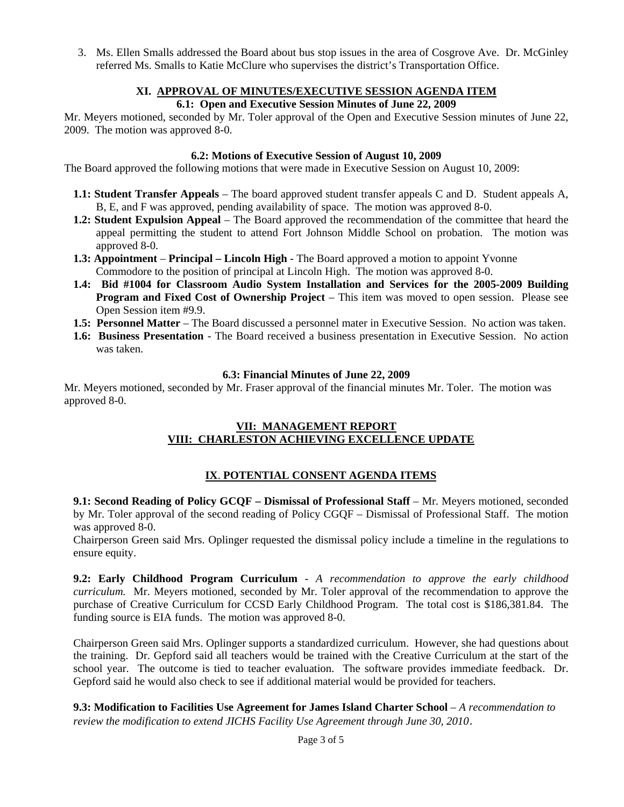3. Ms. Ellen Smalls addressed the Board about bus stop issues in the area of Cosgrove Ave. Dr. McGinley referred Ms. Smalls to Katie McClure who supervises the district's Transportation Office.

# **XI. APPROVAL OF MINUTES/EXECUTIVE SESSION AGENDA ITEM**

#### **6.1: Open and Executive Session Minutes of June 22, 2009**

Mr. Meyers motioned, seconded by Mr. Toler approval of the Open and Executive Session minutes of June 22, 2009. The motion was approved 8-0.

#### **6.2: Motions of Executive Session of August 10, 2009**

The Board approved the following motions that were made in Executive Session on August 10, 2009:

- **1.1: Student Transfer Appeals**  The board approved student transfer appeals C and D. Student appeals A, B, E, and F was approved, pending availability of space. The motion was approved 8-0.
- **1.2: Student Expulsion Appeal**  The Board approved the recommendation of the committee that heard the appeal permitting the student to attend Fort Johnson Middle School on probation. The motion was approved 8-0.
- **1.3: Appointment Principal Lincoln High** The Board approved a motion to appoint Yvonne Commodore to the position of principal at Lincoln High. The motion was approved 8-0.
- **1.4: Bid #1004 for Classroom Audio System Installation and Services for the 2005-2009 Building Program and Fixed Cost of Ownership Project** – This item was moved to open session. Please see Open Session item #9.9.
- **1.5: Personnel Matter** The Board discussed a personnel mater in Executive Session. No action was taken.
- **1.6: Business Presentation**  The Board received a business presentation in Executive Session. No action was taken.

#### **6.3: Financial Minutes of June 22, 2009**

Mr. Meyers motioned, seconded by Mr. Fraser approval of the financial minutes Mr. Toler. The motion was approved 8-0.

#### **VII: MANAGEMENT REPORT VIII: CHARLESTON ACHIEVING EXCELLENCE UPDATE**

## **IX**. **POTENTIAL CONSENT AGENDA ITEMS**

**9.1: Second Reading of Policy GCQF – Dismissal of Professional Staff** – Mr. Meyers motioned, seconded by Mr. Toler approval of the second reading of Policy CGQF – Dismissal of Professional Staff. The motion was approved 8-0.

Chairperson Green said Mrs. Oplinger requested the dismissal policy include a timeline in the regulations to ensure equity.

**9.2: Early Childhood Program Curriculum** - *A recommendation to approve the early childhood curriculum.* Mr. Meyers motioned, seconded by Mr. Toler approval of the recommendation to approve the purchase of Creative Curriculum for CCSD Early Childhood Program. The total cost is \$186,381.84. The funding source is EIA funds. The motion was approved 8-0.

Chairperson Green said Mrs. Oplinger supports a standardized curriculum. However, she had questions about the training. Dr. Gepford said all teachers would be trained with the Creative Curriculum at the start of the school year. The outcome is tied to teacher evaluation. The software provides immediate feedback. Dr. Gepford said he would also check to see if additional material would be provided for teachers.

**9.3: Modification to Facilities Use Agreement for James Island Charter School** – *A recommendation to review the modification to extend JICHS Facility Use Agreement through June 30, 2010*.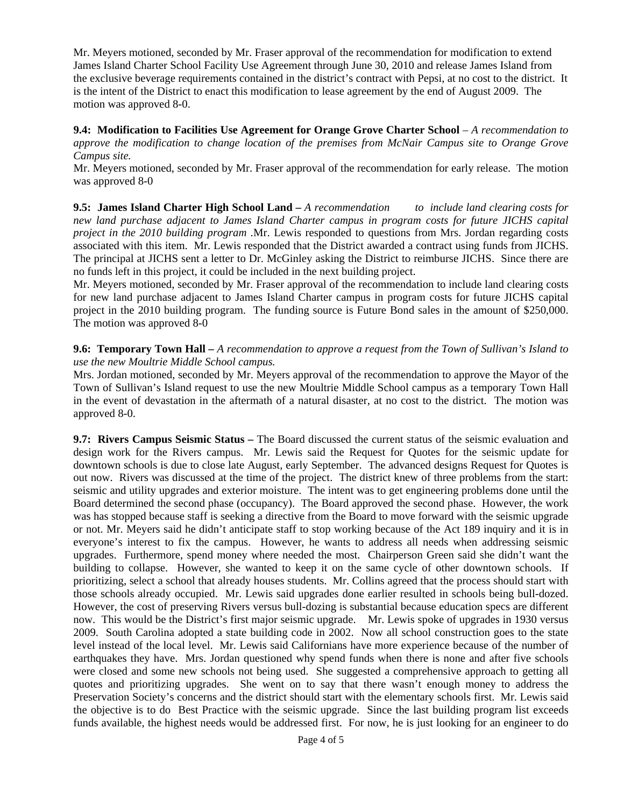Mr. Meyers motioned, seconded by Mr. Fraser approval of the recommendation for modification to extend James Island Charter School Facility Use Agreement through June 30, 2010 and release James Island from the exclusive beverage requirements contained in the district's contract with Pepsi, at no cost to the district. It is the intent of the District to enact this modification to lease agreement by the end of August 2009. The motion was approved 8-0.

**9.4: Modification to Facilities Use Agreement for Orange Grove Charter School** – *A recommendation to approve the modification to change location of the premises from McNair Campus site to Orange Grove Campus site.* 

Mr. Meyers motioned, seconded by Mr. Fraser approval of the recommendation for early release. The motion was approved 8-0

**9.5: James Island Charter High School Land –** *A recommendation to include land clearing costs for new land purchase adjacent to James Island Charter campus in program costs for future JICHS capital project in the 2010 building program .*Mr. Lewis responded to questions from Mrs. Jordan regarding costs associated with this item. Mr. Lewis responded that the District awarded a contract using funds from JICHS. The principal at JICHS sent a letter to Dr. McGinley asking the District to reimburse JICHS. Since there are no funds left in this project, it could be included in the next building project.

Mr. Meyers motioned, seconded by Mr. Fraser approval of the recommendation to include land clearing costs for new land purchase adjacent to James Island Charter campus in program costs for future JICHS capital project in the 2010 building program. The funding source is Future Bond sales in the amount of \$250,000. The motion was approved 8-0

#### **9.6: Temporary Town Hall** *– A recommendation to approve a request from the Town of Sullivan's Island to use the new Moultrie Middle School campus.*

Mrs. Jordan motioned, seconded by Mr. Meyers approval of the recommendation to approve the Mayor of the Town of Sullivan's Island request to use the new Moultrie Middle School campus as a temporary Town Hall in the event of devastation in the aftermath of a natural disaster, at no cost to the district. The motion was approved 8-0.

**9.7: Rivers Campus Seismic Status –** The Board discussed the current status of the seismic evaluation and design work for the Rivers campus. Mr. Lewis said the Request for Quotes for the seismic update for downtown schools is due to close late August, early September. The advanced designs Request for Quotes is out now. Rivers was discussed at the time of the project. The district knew of three problems from the start: seismic and utility upgrades and exterior moisture. The intent was to get engineering problems done until the Board determined the second phase (occupancy). The Board approved the second phase. However, the work was has stopped because staff is seeking a directive from the Board to move forward with the seismic upgrade or not. Mr. Meyers said he didn't anticipate staff to stop working because of the Act 189 inquiry and it is in everyone's interest to fix the campus. However, he wants to address all needs when addressing seismic upgrades. Furthermore, spend money where needed the most. Chairperson Green said she didn't want the building to collapse. However, she wanted to keep it on the same cycle of other downtown schools. If prioritizing, select a school that already houses students. Mr. Collins agreed that the process should start with those schools already occupied. Mr. Lewis said upgrades done earlier resulted in schools being bull-dozed. However, the cost of preserving Rivers versus bull-dozing is substantial because education specs are different now. This would be the District's first major seismic upgrade. Mr. Lewis spoke of upgrades in 1930 versus 2009. South Carolina adopted a state building code in 2002. Now all school construction goes to the state level instead of the local level. Mr. Lewis said Californians have more experience because of the number of earthquakes they have. Mrs. Jordan questioned why spend funds when there is none and after five schools were closed and some new schools not being used. She suggested a comprehensive approach to getting all quotes and prioritizing upgrades. She went on to say that there wasn't enough money to address the Preservation Society's concerns and the district should start with the elementary schools first. Mr. Lewis said the objective is to do Best Practice with the seismic upgrade. Since the last building program list exceeds funds available, the highest needs would be addressed first. For now, he is just looking for an engineer to do